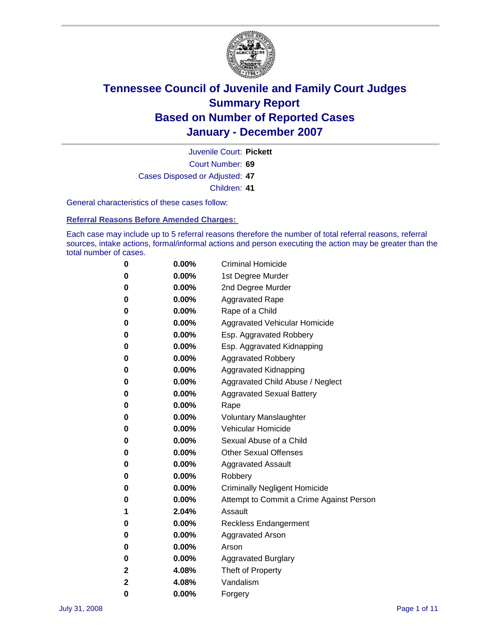

Court Number: **69** Juvenile Court: **Pickett** Cases Disposed or Adjusted: **47** Children: **41**

General characteristics of these cases follow:

**Referral Reasons Before Amended Charges:** 

Each case may include up to 5 referral reasons therefore the number of total referral reasons, referral sources, intake actions, formal/informal actions and person executing the action may be greater than the total number of cases.

| 0 | $0.00\%$ | <b>Criminal Homicide</b>                 |
|---|----------|------------------------------------------|
| 0 | 0.00%    | 1st Degree Murder                        |
| 0 | $0.00\%$ | 2nd Degree Murder                        |
| 0 | 0.00%    | <b>Aggravated Rape</b>                   |
| 0 | 0.00%    | Rape of a Child                          |
| 0 | 0.00%    | Aggravated Vehicular Homicide            |
| 0 | 0.00%    | Esp. Aggravated Robbery                  |
| 0 | $0.00\%$ | Esp. Aggravated Kidnapping               |
| 0 | 0.00%    | <b>Aggravated Robbery</b>                |
| 0 | $0.00\%$ | Aggravated Kidnapping                    |
| 0 | $0.00\%$ | Aggravated Child Abuse / Neglect         |
| 0 | $0.00\%$ | <b>Aggravated Sexual Battery</b>         |
| 0 | 0.00%    | Rape                                     |
| 0 | $0.00\%$ | <b>Voluntary Manslaughter</b>            |
| 0 | 0.00%    | Vehicular Homicide                       |
| 0 | 0.00%    | Sexual Abuse of a Child                  |
| 0 | $0.00\%$ | <b>Other Sexual Offenses</b>             |
| 0 | 0.00%    | <b>Aggravated Assault</b>                |
| 0 | $0.00\%$ | Robbery                                  |
| 0 | 0.00%    | <b>Criminally Negligent Homicide</b>     |
| 0 | $0.00\%$ | Attempt to Commit a Crime Against Person |
| 1 | 2.04%    | Assault                                  |
| 0 | 0.00%    | Reckless Endangerment                    |
| 0 | 0.00%    | <b>Aggravated Arson</b>                  |
| 0 | $0.00\%$ | Arson                                    |
| 0 | $0.00\%$ | <b>Aggravated Burglary</b>               |
| 2 | 4.08%    | Theft of Property                        |
| 2 | 4.08%    | Vandalism                                |
| 0 | 0.00%    | Forgery                                  |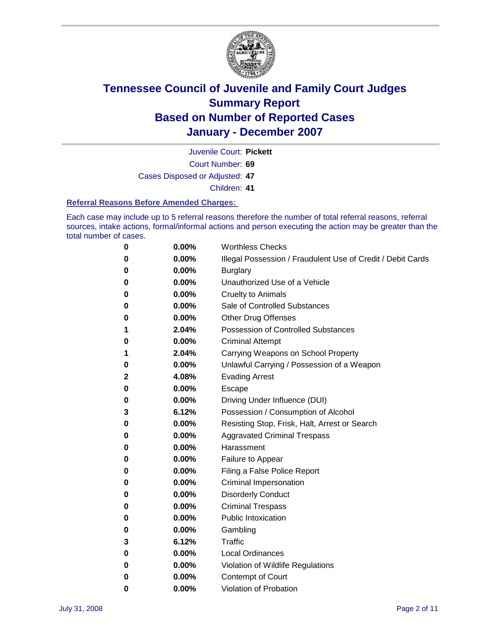

Court Number: **69** Juvenile Court: **Pickett**

Cases Disposed or Adjusted: **47**

Children: **41**

### **Referral Reasons Before Amended Charges:**

Each case may include up to 5 referral reasons therefore the number of total referral reasons, referral sources, intake actions, formal/informal actions and person executing the action may be greater than the total number of cases.

| 0 | 0.00% | <b>Worthless Checks</b>                                     |
|---|-------|-------------------------------------------------------------|
| 0 | 0.00% | Illegal Possession / Fraudulent Use of Credit / Debit Cards |
| 0 | 0.00% | <b>Burglary</b>                                             |
| 0 | 0.00% | Unauthorized Use of a Vehicle                               |
| 0 | 0.00% | <b>Cruelty to Animals</b>                                   |
| 0 | 0.00% | Sale of Controlled Substances                               |
| 0 | 0.00% | <b>Other Drug Offenses</b>                                  |
| 1 | 2.04% | <b>Possession of Controlled Substances</b>                  |
| 0 | 0.00% | <b>Criminal Attempt</b>                                     |
| 1 | 2.04% | Carrying Weapons on School Property                         |
| 0 | 0.00% | Unlawful Carrying / Possession of a Weapon                  |
| 2 | 4.08% | <b>Evading Arrest</b>                                       |
| 0 | 0.00% | Escape                                                      |
| 0 | 0.00% | Driving Under Influence (DUI)                               |
| 3 | 6.12% | Possession / Consumption of Alcohol                         |
| 0 | 0.00% | Resisting Stop, Frisk, Halt, Arrest or Search               |
| 0 | 0.00% | <b>Aggravated Criminal Trespass</b>                         |
| 0 | 0.00% | Harassment                                                  |
| 0 | 0.00% | Failure to Appear                                           |
| 0 | 0.00% | Filing a False Police Report                                |
| 0 | 0.00% | Criminal Impersonation                                      |
| 0 | 0.00% | <b>Disorderly Conduct</b>                                   |
| 0 | 0.00% | <b>Criminal Trespass</b>                                    |
| 0 | 0.00% | <b>Public Intoxication</b>                                  |
| 0 | 0.00% | Gambling                                                    |
| 3 | 6.12% | Traffic                                                     |
| 0 | 0.00% | <b>Local Ordinances</b>                                     |
| 0 | 0.00% | Violation of Wildlife Regulations                           |
| 0 | 0.00% | Contempt of Court                                           |
| 0 | 0.00% | Violation of Probation                                      |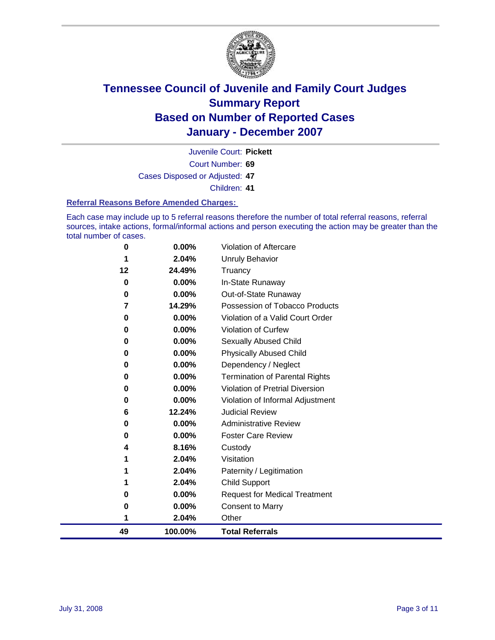

Court Number: **69** Juvenile Court: **Pickett** Cases Disposed or Adjusted: **47** Children: **41**

#### **Referral Reasons Before Amended Charges:**

Each case may include up to 5 referral reasons therefore the number of total referral reasons, referral sources, intake actions, formal/informal actions and person executing the action may be greater than the total number of cases.

| 0        | 0.00%    | Violation of Aftercare                |
|----------|----------|---------------------------------------|
| 1        | 2.04%    | Unruly Behavior                       |
| 12       | 24.49%   | Truancy                               |
| $\bf{0}$ | $0.00\%$ | In-State Runaway                      |
| 0        | $0.00\%$ | Out-of-State Runaway                  |
| 7        | 14.29%   | Possession of Tobacco Products        |
| 0        | 0.00%    | Violation of a Valid Court Order      |
| 0        | $0.00\%$ | <b>Violation of Curfew</b>            |
| 0        | $0.00\%$ | Sexually Abused Child                 |
| 0        | 0.00%    | <b>Physically Abused Child</b>        |
| 0        | 0.00%    | Dependency / Neglect                  |
| 0        | $0.00\%$ | <b>Termination of Parental Rights</b> |
| 0        | $0.00\%$ | Violation of Pretrial Diversion       |
| 0        | $0.00\%$ | Violation of Informal Adjustment      |
| 6        | 12.24%   | <b>Judicial Review</b>                |
| 0        | $0.00\%$ | <b>Administrative Review</b>          |
| 0        | $0.00\%$ | <b>Foster Care Review</b>             |
| 4        | 8.16%    | Custody                               |
| 1        | 2.04%    | Visitation                            |
| 1        | 2.04%    | Paternity / Legitimation              |
|          | 2.04%    | <b>Child Support</b>                  |
| 0        | 0.00%    | <b>Request for Medical Treatment</b>  |
| 0        | 0.00%    | <b>Consent to Marry</b>               |
| 1        | 2.04%    | Other                                 |
| 49       | 100.00%  | <b>Total Referrals</b>                |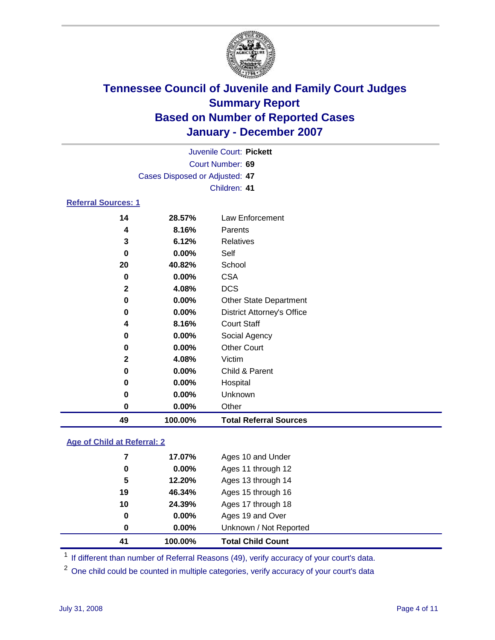

|                            |                                | Juvenile Court: Pickett           |  |  |  |
|----------------------------|--------------------------------|-----------------------------------|--|--|--|
| Court Number: 69           |                                |                                   |  |  |  |
|                            | Cases Disposed or Adjusted: 47 |                                   |  |  |  |
|                            |                                | Children: 41                      |  |  |  |
| <b>Referral Sources: 1</b> |                                |                                   |  |  |  |
| 14                         | 28.57%                         | Law Enforcement                   |  |  |  |
| 4                          | 8.16%                          | Parents                           |  |  |  |
| 3                          | 6.12%                          | Relatives                         |  |  |  |
| 0                          | 0.00%                          | Self                              |  |  |  |
| 20                         | 40.82%                         | School                            |  |  |  |
| 0                          | 0.00%                          | <b>CSA</b>                        |  |  |  |
| $\mathbf{2}$               | 4.08%                          | <b>DCS</b>                        |  |  |  |
| 0                          | 0.00%                          | <b>Other State Department</b>     |  |  |  |
| 0                          | $0.00\%$                       | <b>District Attorney's Office</b> |  |  |  |
| 4                          | 8.16%                          | <b>Court Staff</b>                |  |  |  |
| 0                          | $0.00\%$                       | Social Agency                     |  |  |  |
| 0                          | 0.00%                          | <b>Other Court</b>                |  |  |  |
| $\mathbf{2}$               | 4.08%                          | Victim                            |  |  |  |
| 0                          | 0.00%                          | Child & Parent                    |  |  |  |
| 0                          | $0.00\%$                       | Hospital                          |  |  |  |
| 0                          | $0.00\%$                       | Unknown                           |  |  |  |

 **0.00%** Other **100.00% Total Referral Sources**

### **Age of Child at Referral: 2**

| 41<br>100.00% |          | <b>Total Child Count</b> |
|---------------|----------|--------------------------|
| 0             | 0.00%    | Unknown / Not Reported   |
| 0             | $0.00\%$ | Ages 19 and Over         |
| 10<br>24.39%  |          | Ages 17 through 18       |
| 19<br>46.34%  |          | Ages 15 through 16       |
| 5<br>12.20%   |          | Ages 13 through 14       |
| 0             | 0.00%    | Ages 11 through 12       |
| 17.07%        |          | Ages 10 and Under        |
|               |          |                          |

<sup>1</sup> If different than number of Referral Reasons (49), verify accuracy of your court's data.

<sup>2</sup> One child could be counted in multiple categories, verify accuracy of your court's data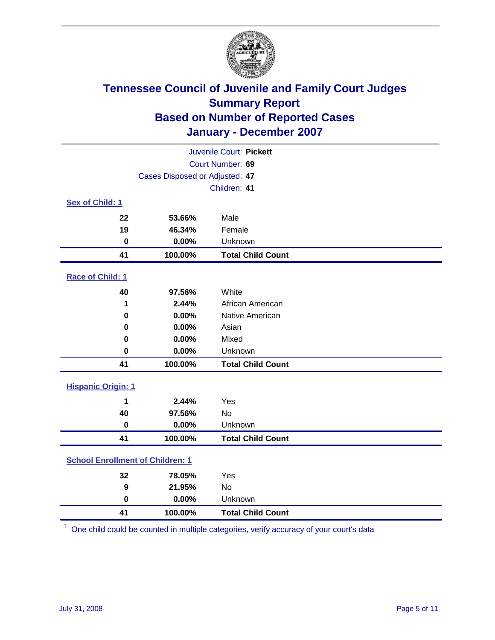

| Juvenile Court: Pickett                 |                                |                          |  |  |
|-----------------------------------------|--------------------------------|--------------------------|--|--|
| Court Number: 69                        |                                |                          |  |  |
|                                         | Cases Disposed or Adjusted: 47 |                          |  |  |
|                                         |                                | Children: 41             |  |  |
| Sex of Child: 1                         |                                |                          |  |  |
| 22                                      | 53.66%                         | Male                     |  |  |
| 19                                      | 46.34%                         | Female                   |  |  |
| $\bf{0}$                                | 0.00%                          | Unknown                  |  |  |
| 41                                      | 100.00%                        | <b>Total Child Count</b> |  |  |
| <b>Race of Child: 1</b>                 |                                |                          |  |  |
| 40                                      | 97.56%                         | White                    |  |  |
| 1                                       | 2.44%                          | African American         |  |  |
| 0                                       | 0.00%                          | Native American          |  |  |
| 0                                       | 0.00%                          | Asian                    |  |  |
| 0                                       | 0.00%                          | Mixed                    |  |  |
| $\bf{0}$                                | 0.00%                          | Unknown                  |  |  |
| 41                                      | 100.00%                        | <b>Total Child Count</b> |  |  |
| <b>Hispanic Origin: 1</b>               |                                |                          |  |  |
| 1                                       | 2.44%                          | Yes                      |  |  |
| 40                                      | 97.56%                         | <b>No</b>                |  |  |
| $\bf{0}$                                | 0.00%                          | Unknown                  |  |  |
| 41                                      | 100.00%                        | <b>Total Child Count</b> |  |  |
| <b>School Enrollment of Children: 1</b> |                                |                          |  |  |
| 32                                      | 78.05%                         | Yes                      |  |  |
| 9                                       | 21.95%                         | No                       |  |  |
| $\bf{0}$                                | 0.00%                          | Unknown                  |  |  |
| 41                                      | 100.00%                        | <b>Total Child Count</b> |  |  |

One child could be counted in multiple categories, verify accuracy of your court's data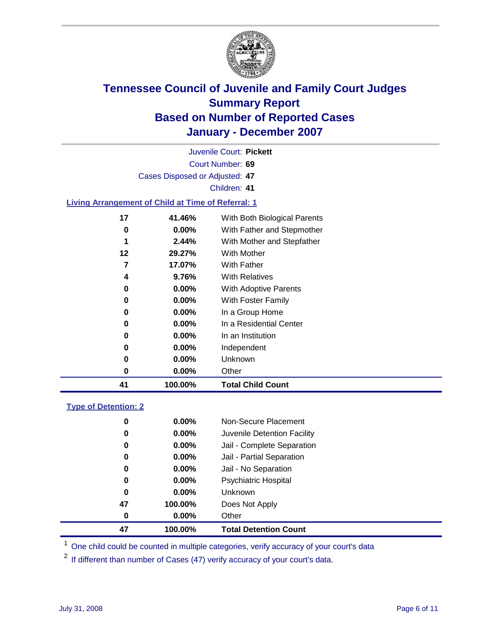

Court Number: **69** Juvenile Court: **Pickett** Cases Disposed or Adjusted: **47** Children: **41 Living Arrangement of Child at Time of Referral: 1 41.46%** With Both Biological Parents **0.00%** With Father and Stepmother **2.44%** With Mother and Stepfather **29.27%** With Mother **17.07%** With Father **9.76%** With Relatives **0.00%** With Adoptive Parents **0.00%** With Foster Family **0.00%** In a Group Home **0.00%** In a Residential Center **0.00%** In an Institution **0.00%** Independent

**0.00%** Other

**100.00% Total Child Count**

**0.00%** Unknown

### **Type of Detention: 2**

| 47 | 100.00%  | <b>Total Detention Count</b> |  |
|----|----------|------------------------------|--|
| 0  | $0.00\%$ | Other                        |  |
| 47 | 100.00%  | Does Not Apply               |  |
| 0  | $0.00\%$ | <b>Unknown</b>               |  |
| 0  | $0.00\%$ | <b>Psychiatric Hospital</b>  |  |
| 0  | 0.00%    | Jail - No Separation         |  |
| 0  | $0.00\%$ | Jail - Partial Separation    |  |
| 0  | 0.00%    | Jail - Complete Separation   |  |
| 0  | 0.00%    | Juvenile Detention Facility  |  |
| 0  | $0.00\%$ | Non-Secure Placement         |  |
|    |          |                              |  |

<sup>1</sup> One child could be counted in multiple categories, verify accuracy of your court's data

<sup>2</sup> If different than number of Cases (47) verify accuracy of your court's data.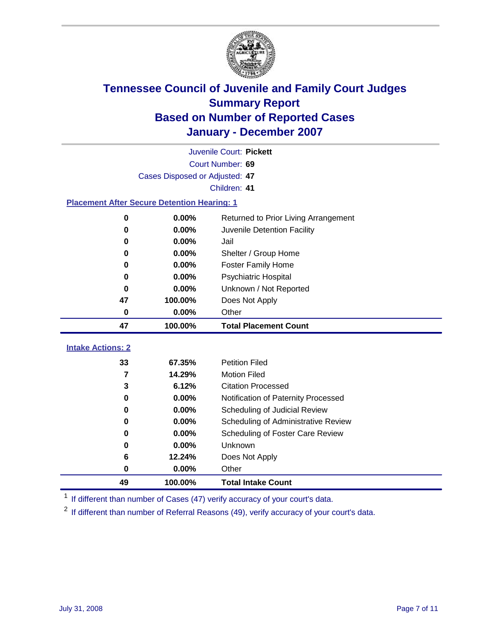

|                                                    | Juvenile Court: Pickett        |                                      |  |  |  |
|----------------------------------------------------|--------------------------------|--------------------------------------|--|--|--|
|                                                    | Court Number: 69               |                                      |  |  |  |
|                                                    | Cases Disposed or Adjusted: 47 |                                      |  |  |  |
|                                                    |                                | Children: 41                         |  |  |  |
| <b>Placement After Secure Detention Hearing: 1</b> |                                |                                      |  |  |  |
| 0                                                  | 0.00%                          | Returned to Prior Living Arrangement |  |  |  |
| $\bf{0}$                                           | 0.00%                          | Juvenile Detention Facility          |  |  |  |
| $\bf{0}$                                           | 0.00%                          | Jail                                 |  |  |  |
| 0                                                  | 0.00%                          | Shelter / Group Home                 |  |  |  |
| 0                                                  | 0.00%                          | Foster Family Home                   |  |  |  |
| $\bf{0}$                                           | 0.00%                          | Psychiatric Hospital                 |  |  |  |
| 0                                                  | 0.00%                          | Unknown / Not Reported               |  |  |  |
| 47                                                 | 100.00%                        | Does Not Apply                       |  |  |  |
| $\bf{0}$                                           | 0.00%                          | Other                                |  |  |  |
| 47                                                 | 100.00%                        | <b>Total Placement Count</b>         |  |  |  |
| <b>Intake Actions: 2</b>                           |                                |                                      |  |  |  |
|                                                    |                                |                                      |  |  |  |
| 33                                                 | 67.35%                         | <b>Petition Filed</b>                |  |  |  |
| $\overline{7}$                                     | 14.29%                         | <b>Motion Filed</b>                  |  |  |  |
| 3                                                  | 6.12%                          | <b>Citation Processed</b>            |  |  |  |
| $\bf{0}$                                           | 0.00%                          | Notification of Paternity Processed  |  |  |  |
| 0                                                  | 0.00%                          | Scheduling of Judicial Review        |  |  |  |
| $\bf{0}$                                           | 0.00%                          | Scheduling of Administrative Review  |  |  |  |
| 0                                                  | 0.00%                          | Scheduling of Foster Care Review     |  |  |  |
| $\bf{0}$                                           | 0.00%                          | Unknown                              |  |  |  |
| 6                                                  | 12.24%                         | Does Not Apply                       |  |  |  |
| $\mathbf 0$                                        | 0.00%                          | Other                                |  |  |  |
| 49                                                 | 100.00%                        | <b>Total Intake Count</b>            |  |  |  |

<sup>1</sup> If different than number of Cases (47) verify accuracy of your court's data.

<sup>2</sup> If different than number of Referral Reasons (49), verify accuracy of your court's data.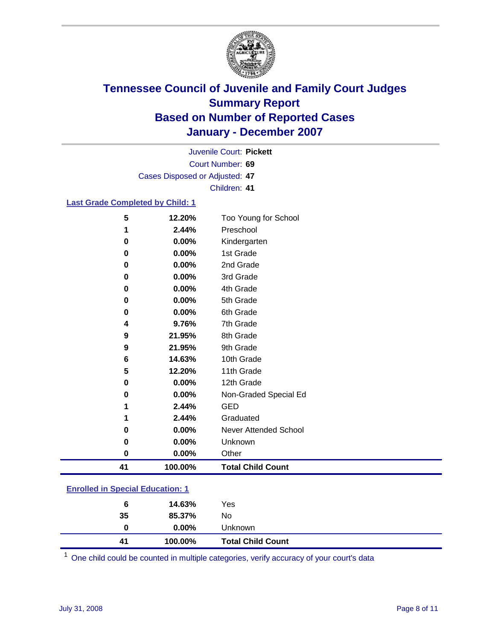

Court Number: **69** Juvenile Court: **Pickett** Cases Disposed or Adjusted: **47** Children: **41**

### **Last Grade Completed by Child: 1**

| 5<br>12.20%   | Too Young for School     |
|---------------|--------------------------|
| 2.44%<br>1    | Preschool                |
| 0.00%<br>0    | Kindergarten             |
| 0.00%<br>0    | 1st Grade                |
| 0.00%<br>0    | 2nd Grade                |
| 0.00%<br>0    | 3rd Grade                |
| 0.00%<br>0    | 4th Grade                |
| 0.00%<br>0    | 5th Grade                |
| 0.00%<br>0    | 6th Grade                |
| 9.76%<br>4    | 7th Grade                |
| 21.95%<br>9   | 8th Grade                |
| 9<br>21.95%   | 9th Grade                |
| 14.63%<br>6   | 10th Grade               |
| 5<br>12.20%   | 11th Grade               |
| 0.00%<br>0    | 12th Grade               |
| 0.00%<br>0    | Non-Graded Special Ed    |
| 2.44%<br>1    | <b>GED</b>               |
| 2.44%<br>1    | Graduated                |
| 0.00%<br>0    | Never Attended School    |
| 0.00%<br>0    | Unknown                  |
| 0.00%<br>0    | Other                    |
| 100.00%<br>41 | <b>Total Child Count</b> |

### **Enrolled in Special Education: 1**

| 41 | 100.00%  | <b>Total Child Count</b> |  |
|----|----------|--------------------------|--|
| 0  | $0.00\%$ | Unknown                  |  |
| 35 | 85.37%   | No                       |  |
| 6  | 14.63%   | Yes                      |  |
|    |          |                          |  |

<sup>1</sup> One child could be counted in multiple categories, verify accuracy of your court's data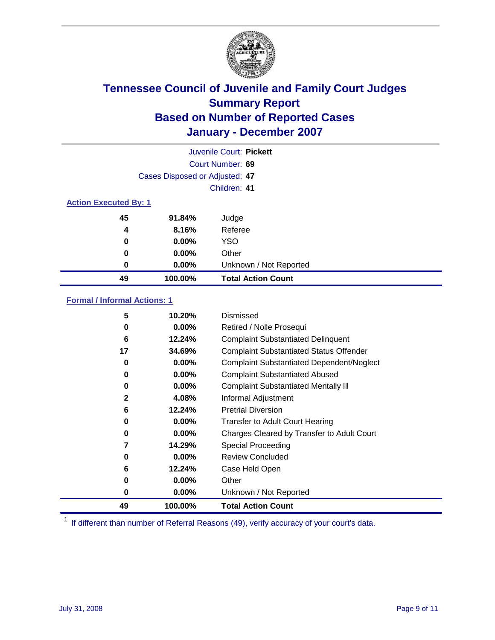

| Juvenile Court: Pickett      |                                |                           |  |  |
|------------------------------|--------------------------------|---------------------------|--|--|
|                              | Court Number: 69               |                           |  |  |
|                              | Cases Disposed or Adjusted: 47 |                           |  |  |
|                              |                                | Children: 41              |  |  |
| <b>Action Executed By: 1</b> |                                |                           |  |  |
| 45                           | 91.84%                         | Judge                     |  |  |
| 4                            | 8.16%                          | Referee                   |  |  |
| 0                            | $0.00\%$                       | <b>YSO</b>                |  |  |
| 0                            | $0.00\%$                       | Other                     |  |  |
| 0                            | $0.00\%$                       | Unknown / Not Reported    |  |  |
| 49                           | 100.00%                        | <b>Total Action Count</b> |  |  |

### **Formal / Informal Actions: 1**

| 5            | 10.20%   | Dismissed                                        |
|--------------|----------|--------------------------------------------------|
| 0            | $0.00\%$ | Retired / Nolle Prosequi                         |
| 6            | 12.24%   | <b>Complaint Substantiated Delinquent</b>        |
| 17           | 34.69%   | <b>Complaint Substantiated Status Offender</b>   |
| 0            | 0.00%    | <b>Complaint Substantiated Dependent/Neglect</b> |
| 0            | $0.00\%$ | <b>Complaint Substantiated Abused</b>            |
| 0            | $0.00\%$ | <b>Complaint Substantiated Mentally III</b>      |
| $\mathbf{2}$ | 4.08%    | Informal Adjustment                              |
| 6            | 12.24%   | <b>Pretrial Diversion</b>                        |
| 0            | 0.00%    | <b>Transfer to Adult Court Hearing</b>           |
| 0            | $0.00\%$ | Charges Cleared by Transfer to Adult Court       |
| 7            | 14.29%   | Special Proceeding                               |
| 0            | $0.00\%$ | <b>Review Concluded</b>                          |
| 6            | 12.24%   | Case Held Open                                   |
| 0            | $0.00\%$ | Other                                            |
| 0            | 0.00%    | Unknown / Not Reported                           |
| 49           | 100.00%  | <b>Total Action Count</b>                        |

<sup>1</sup> If different than number of Referral Reasons (49), verify accuracy of your court's data.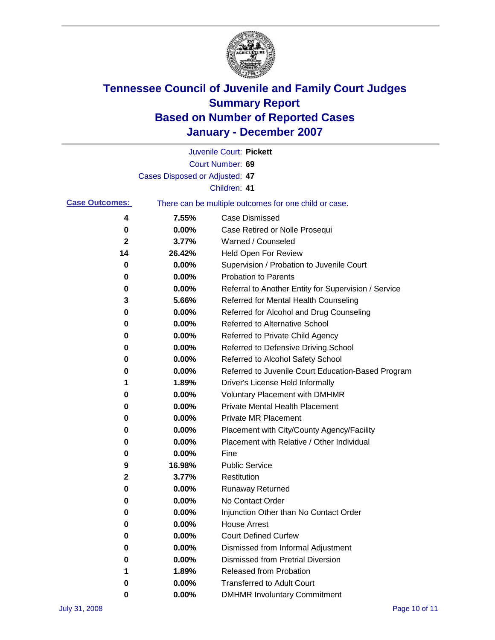

|                       |                                                       | Juvenile Court: Pickett                              |
|-----------------------|-------------------------------------------------------|------------------------------------------------------|
|                       |                                                       | Court Number: 69                                     |
|                       | Cases Disposed or Adjusted: 47                        |                                                      |
|                       |                                                       | Children: 41                                         |
| <b>Case Outcomes:</b> | There can be multiple outcomes for one child or case. |                                                      |
| 4                     | 7.55%                                                 | <b>Case Dismissed</b>                                |
| 0                     | 0.00%                                                 | Case Retired or Nolle Prosequi                       |
| 2                     | 3.77%                                                 | Warned / Counseled                                   |
| 14                    | 26.42%                                                | <b>Held Open For Review</b>                          |
| 0                     | 0.00%                                                 | Supervision / Probation to Juvenile Court            |
| 0                     | 0.00%                                                 | <b>Probation to Parents</b>                          |
| 0                     | 0.00%                                                 | Referral to Another Entity for Supervision / Service |
| 3                     | 5.66%                                                 | Referred for Mental Health Counseling                |
| 0                     | 0.00%                                                 | Referred for Alcohol and Drug Counseling             |
| 0                     | 0.00%                                                 | Referred to Alternative School                       |
| 0                     | 0.00%                                                 | Referred to Private Child Agency                     |
| 0                     | 0.00%                                                 | Referred to Defensive Driving School                 |
| 0                     | 0.00%                                                 | Referred to Alcohol Safety School                    |
| 0                     | 0.00%                                                 | Referred to Juvenile Court Education-Based Program   |
| 1                     | 1.89%                                                 | Driver's License Held Informally                     |
| 0                     | 0.00%                                                 | <b>Voluntary Placement with DMHMR</b>                |
| 0                     | 0.00%                                                 | <b>Private Mental Health Placement</b>               |
| 0                     | 0.00%                                                 | <b>Private MR Placement</b>                          |
| 0                     | 0.00%                                                 | Placement with City/County Agency/Facility           |
| 0                     | 0.00%                                                 | Placement with Relative / Other Individual           |
| 0                     | 0.00%                                                 | Fine                                                 |
| 9                     | 16.98%                                                | <b>Public Service</b>                                |
| 2                     | 3.77%                                                 | Restitution                                          |
| 0                     | 0.00%                                                 | <b>Runaway Returned</b>                              |
| 0                     | 0.00%                                                 | No Contact Order                                     |
| 0                     | 0.00%                                                 | Injunction Other than No Contact Order               |
| 0                     | 0.00%                                                 | <b>House Arrest</b>                                  |
| 0                     | 0.00%                                                 | <b>Court Defined Curfew</b>                          |
| 0                     | 0.00%                                                 | Dismissed from Informal Adjustment                   |
| 0                     | 0.00%                                                 | <b>Dismissed from Pretrial Diversion</b>             |
| 1                     | 1.89%                                                 | Released from Probation                              |
| 0                     | 0.00%                                                 | <b>Transferred to Adult Court</b>                    |
| 0                     | 0.00%                                                 | <b>DMHMR Involuntary Commitment</b>                  |